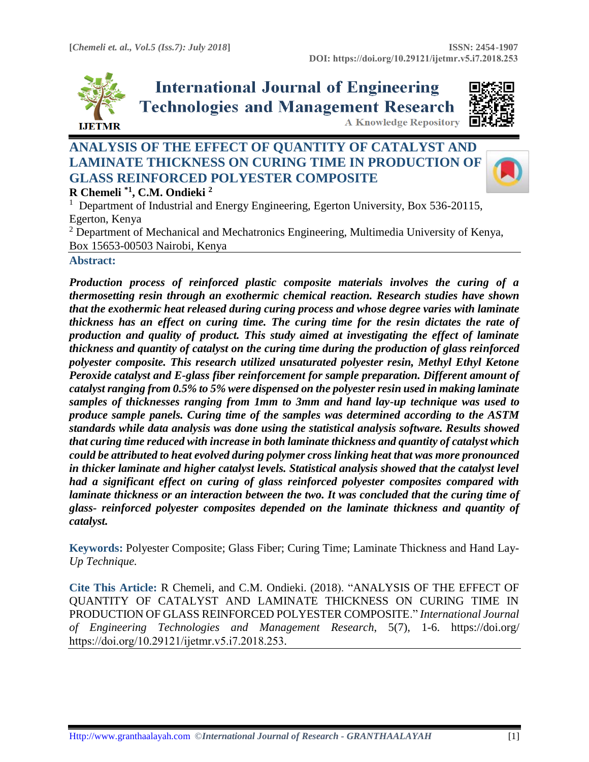

**International Journal of Engineering Technologies and Management Research A Knowledge Repository** 



# **ANALYSIS OF THE EFFECT OF QUANTITY OF CATALYST AND LAMINATE THICKNESS ON CURING TIME IN PRODUCTION OF GLASS REINFORCED POLYESTER COMPOSITE R Chemeli \*1 , C.M. Ondieki <sup>2</sup>**



<sup>1</sup> Department of Industrial and Energy Engineering, Egerton University, Box 536-20115, Egerton, Kenya <sup>2</sup> Department of Mechanical and Mechatronics Engineering, Multimedia University of Kenya,

Box 15653-00503 Nairobi, Kenya

#### **Abstract:**

*Production process of reinforced plastic composite materials involves the curing of a thermosetting resin through an exothermic chemical reaction. Research studies have shown that the exothermic heat released during curing process and whose degree varies with laminate thickness has an effect on curing time. The curing time for the resin dictates the rate of production and quality of product. This study aimed at investigating the effect of laminate thickness and quantity of catalyst on the curing time during the production of glass reinforced polyester composite. This research utilized unsaturated polyester resin, Methyl Ethyl Ketone Peroxide catalyst and E-glass fiber reinforcement for sample preparation. Different amount of catalyst ranging from 0.5% to 5% were dispensed on the polyester resin used in making laminate samples of thicknesses ranging from 1mm to 3mm and hand lay-up technique was used to produce sample panels. Curing time of the samples was determined according to the ASTM standards while data analysis was done using the statistical analysis software. Results showed that curing time reduced with increase in both laminate thickness and quantity of catalyst which could be attributed to heat evolved during polymer cross linking heat that was more pronounced in thicker laminate and higher catalyst levels. Statistical analysis showed that the catalyst level had a significant effect on curing of glass reinforced polyester composites compared with laminate thickness or an interaction between the two. It was concluded that the curing time of glass- reinforced polyester composites depended on the laminate thickness and quantity of catalyst.* 

**Keywords:** Polyester Composite; Glass Fiber; Curing Time; Laminate Thickness and Hand Lay-*Up Technique.* 

**Cite This Article:** R Chemeli, and C.M. Ondieki. (2018). "ANALYSIS OF THE EFFECT OF QUANTITY OF CATALYST AND LAMINATE THICKNESS ON CURING TIME IN PRODUCTION OF GLASS REINFORCED POLYESTER COMPOSITE." *International Journal of Engineering Technologies and Management Research*, 5(7), 1-6. https://doi.org/ https://doi.org/10.29121/ijetmr.v5.i7.2018.253.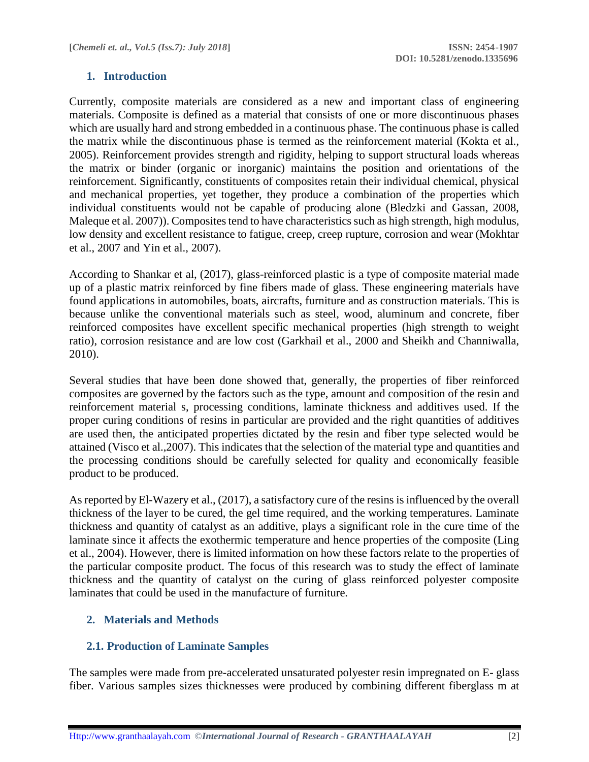### **1. Introduction**

Currently, composite materials are considered as a new and important class of engineering materials. Composite is defined as a material that consists of one or more discontinuous phases which are usually hard and strong embedded in a continuous phase. The continuous phase is called the matrix while the discontinuous phase is termed as the reinforcement material (Kokta et al., 2005). Reinforcement provides strength and rigidity, helping to support structural loads whereas the matrix or binder (organic or inorganic) maintains the position and orientations of the reinforcement. Significantly, constituents of composites retain their individual chemical, physical and mechanical properties, yet together, they produce a combination of the properties which individual constituents would not be capable of producing alone (Bledzki and Gassan, 2008, Maleque et al. 2007)). Composites tend to have characteristics such as high strength, high modulus, low density and excellent resistance to fatigue, creep, creep rupture, corrosion and wear (Mokhtar et al., 2007 and Yin et al., 2007).

According to Shankar et al, (2017), glass-reinforced plastic is a type of composite material made up of a plastic matrix reinforced by fine fibers made of glass. These engineering materials have found applications in automobiles, boats, aircrafts, furniture and as construction materials. This is because unlike the conventional materials such as steel, wood, aluminum and concrete, fiber reinforced composites have excellent specific mechanical properties (high strength to weight ratio), corrosion resistance and are low cost (Garkhail et al., 2000 and Sheikh and Channiwalla, 2010).

Several studies that have been done showed that, generally, the properties of fiber reinforced composites are governed by the factors such as the type, amount and composition of the resin and reinforcement material s, processing conditions, laminate thickness and additives used. If the proper curing conditions of resins in particular are provided and the right quantities of additives are used then, the anticipated properties dictated by the resin and fiber type selected would be attained (Visco et al.,2007). This indicates that the selection of the material type and quantities and the processing conditions should be carefully selected for quality and economically feasible product to be produced.

As reported by El-Wazery et al., (2017), a satisfactory cure of the resins is influenced by the overall thickness of the layer to be cured, the gel time required, and the working temperatures. Laminate thickness and quantity of catalyst as an additive, plays a significant role in the cure time of the laminate since it affects the exothermic temperature and hence properties of the composite (Ling et al., 2004). However, there is limited information on how these factors relate to the properties of the particular composite product. The focus of this research was to study the effect of laminate thickness and the quantity of catalyst on the curing of glass reinforced polyester composite laminates that could be used in the manufacture of furniture.

# **2. Materials and Methods**

# **2.1. Production of Laminate Samples**

The samples were made from pre-accelerated unsaturated polyester resin impregnated on E- glass fiber. Various samples sizes thicknesses were produced by combining different fiberglass m at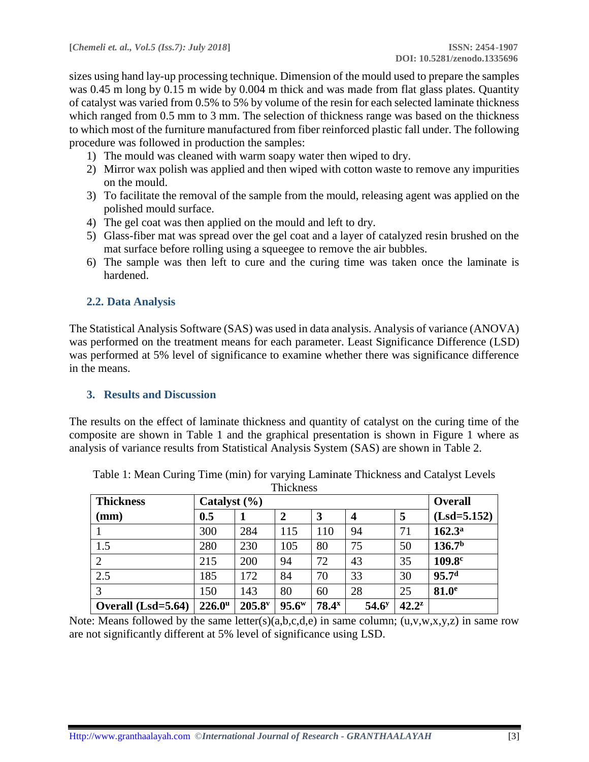sizes using hand lay-up processing technique. Dimension of the mould used to prepare the samples was 0.45 m long by 0.15 m wide by 0.004 m thick and was made from flat glass plates. Quantity of catalyst was varied from 0.5% to 5% by volume of the resin for each selected laminate thickness which ranged from 0.5 mm to 3 mm. The selection of thickness range was based on the thickness to which most of the furniture manufactured from fiber reinforced plastic fall under. The following procedure was followed in production the samples:

- 1) The mould was cleaned with warm soapy water then wiped to dry.
- 2) Mirror wax polish was applied and then wiped with cotton waste to remove any impurities on the mould.
- 3) To facilitate the removal of the sample from the mould, releasing agent was applied on the polished mould surface.
- 4) The gel coat was then applied on the mould and left to dry.
- 5) Glass-fiber mat was spread over the gel coat and a layer of catalyzed resin brushed on the mat surface before rolling using a squeegee to remove the air bubbles.
- 6) The sample was then left to cure and the curing time was taken once the laminate is hardened.

## **2.2. Data Analysis**

The Statistical Analysis Software (SAS) was used in data analysis. Analysis of variance (ANOVA) was performed on the treatment means for each parameter. Least Significance Difference (LSD) was performed at 5% level of significance to examine whether there was significance difference in the means.

### **3. Results and Discussion**

The results on the effect of laminate thickness and quantity of catalyst on the curing time of the composite are shown in Table 1 and the graphical presentation is shown in Figure 1 where as analysis of variance results from Statistical Analysis System (SAS) are shown in Table 2.

| <b>Thickness</b>   | <b>Overall</b>          |                      |          |                   |                   |          |                    |
|--------------------|-------------------------|----------------------|----------|-------------------|-------------------|----------|--------------------|
| $(\mathbf{mm})$    | Catalyst $(\% )$<br>0.5 |                      | 2        | 3                 | 4                 | 5        | $(Lsd = 5.152)$    |
|                    | 300                     | 284                  | 115      | 110               | 94                | 71       | 162.3 <sup>a</sup> |
| 1.5                | 280                     | 230                  | 105      | 80                | 75                | 50       | 136.7 <sup>b</sup> |
| $\overline{2}$     | 215                     | 200                  | 94       | 72                | 43                | 35       | 109.8 <sup>c</sup> |
| 2.5                | 185                     | 172                  | 84       | 70                | 33                | 30       | 95.7 <sup>d</sup>  |
| 3                  | 150                     | 143                  | 80       | 60                | 28                | 25       | 81.0 <sup>e</sup>  |
| Overall (Lsd=5.64) | $226.0^{\mathrm{u}}$    | $205.8$ <sup>v</sup> | $95.6^w$ | 78.4 <sup>x</sup> | 54.6 <sup>y</sup> | $42.2^z$ |                    |

Table 1: Mean Curing Time (min) for varying Laminate Thickness and Catalyst Levels **Thickness** 

Note: Means followed by the same letter(s)(a,b,c,d,e) in same column;  $(u,v,w,x,y,z)$  in same row are not significantly different at 5% level of significance using LSD.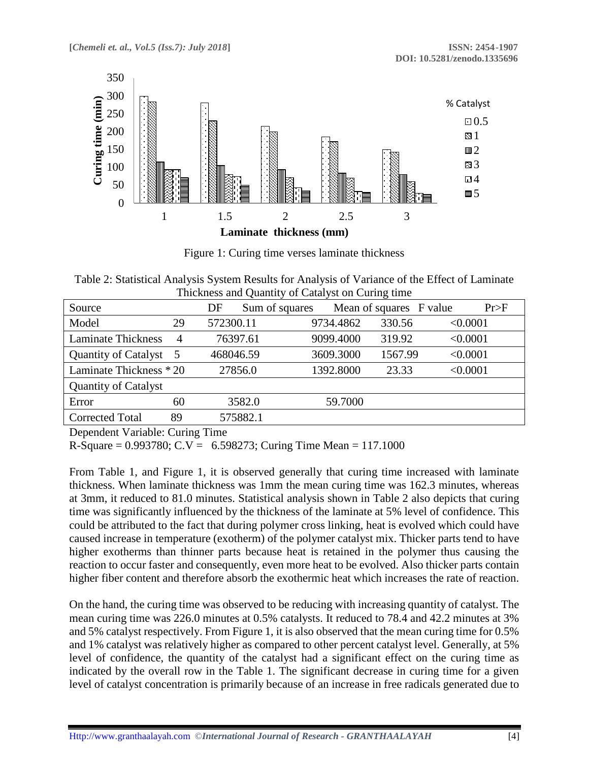

Figure 1: Curing time verses laminate thickness

Table 2: Statistical Analysis System Results for Analysis of Variance of the Effect of Laminate Thickness and Quantity of Catalyst on Curing time

| Source                      |                | Sum of squares<br>DF |           | Mean of squares F value | Pr>F     |
|-----------------------------|----------------|----------------------|-----------|-------------------------|----------|
| Model                       | 29             | 572300.11            | 9734.4862 | 330.56                  | < 0.0001 |
| <b>Laminate Thickness</b>   | $\overline{4}$ | 76397.61             | 9099.4000 | 319.92                  | < 0.0001 |
| Quantity of Catalyst 5      |                | 468046.59            | 3609.3000 | 1567.99                 | < 0.0001 |
| Laminate Thickness * 20     |                | 27856.0              | 1392.8000 | 23.33                   | < 0.0001 |
| <b>Quantity of Catalyst</b> |                |                      |           |                         |          |
| Error                       | 60             | 3582.0               | 59.7000   |                         |          |
| <b>Corrected Total</b>      | 89             | 575882.1             |           |                         |          |

Dependent Variable: Curing Time

R-Square =  $0.993780$ ; C.V =  $6.598273$ ; Curing Time Mean = 117.1000

From Table 1, and Figure 1, it is observed generally that curing time increased with laminate thickness. When laminate thickness was 1mm the mean curing time was 162.3 minutes, whereas at 3mm, it reduced to 81.0 minutes. Statistical analysis shown in Table 2 also depicts that curing time was significantly influenced by the thickness of the laminate at 5% level of confidence. This could be attributed to the fact that during polymer cross linking, heat is evolved which could have caused increase in temperature (exotherm) of the polymer catalyst mix. Thicker parts tend to have higher exotherms than thinner parts because heat is retained in the polymer thus causing the reaction to occur faster and consequently, even more heat to be evolved. Also thicker parts contain higher fiber content and therefore absorb the exothermic heat which increases the rate of reaction.

On the hand, the curing time was observed to be reducing with increasing quantity of catalyst. The mean curing time was 226.0 minutes at 0.5% catalysts. It reduced to 78.4 and 42.2 minutes at 3% and 5% catalyst respectively. From Figure 1, it is also observed that the mean curing time for 0.5% and 1% catalyst was relatively higher as compared to other percent catalyst level. Generally, at 5% level of confidence, the quantity of the catalyst had a significant effect on the curing time as indicated by the overall row in the Table 1. The significant decrease in curing time for a given level of catalyst concentration is primarily because of an increase in free radicals generated due to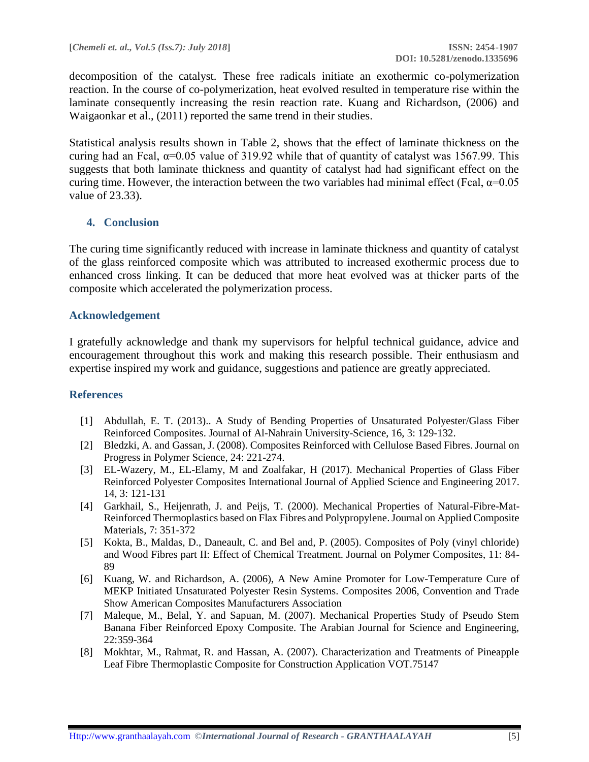decomposition of the catalyst. These free radicals initiate an exothermic co-polymerization reaction. In the course of co-polymerization, heat evolved resulted in temperature rise within the laminate consequently increasing the resin reaction rate. Kuang and Richardson, (2006) and Waigaonkar et al., (2011) reported the same trend in their studies.

Statistical analysis results shown in Table 2, shows that the effect of laminate thickness on the curing had an Fcal,  $\alpha$ =0.05 value of 319.92 while that of quantity of catalyst was 1567.99. This suggests that both laminate thickness and quantity of catalyst had had significant effect on the curing time. However, the interaction between the two variables had minimal effect (Fcal,  $\alpha$ =0.05 value of 23.33).

### **4. Conclusion**

The curing time significantly reduced with increase in laminate thickness and quantity of catalyst of the glass reinforced composite which was attributed to increased exothermic process due to enhanced cross linking. It can be deduced that more heat evolved was at thicker parts of the composite which accelerated the polymerization process.

#### **Acknowledgement**

I gratefully acknowledge and thank my supervisors for helpful technical guidance, advice and encouragement throughout this work and making this research possible. Their enthusiasm and expertise inspired my work and guidance, suggestions and patience are greatly appreciated.

#### **References**

- [1] Abdullah, E. T. (2013).. A Study of Bending Properties of Unsaturated Polyester/Glass Fiber Reinforced Composites. Journal of Al-Nahrain University-Science, 16, 3: 129-132.
- [2] Bledzki, A. and Gassan, J. (2008). Composites Reinforced with Cellulose Based Fibres. Journal on Progress in Polymer Science, 24: 221-274.
- [3] EL-Wazery, M., EL-Elamy, M and Zoalfakar, H (2017). Mechanical Properties of Glass Fiber Reinforced Polyester Composites International Journal of Applied Science and Engineering 2017. 14, 3: 121-131
- [4] Garkhail, S., Heijenrath, J. and Peijs, T. (2000). Mechanical Properties of Natural-Fibre-Mat-Reinforced Thermoplastics based on Flax Fibres and Polypropylene. Journal on Applied Composite Materials, 7: 351-372
- [5] Kokta, B., Maldas, D., Daneault, C. and Bel and, P. (2005). Composites of Poly (vinyl chloride) and Wood Fibres part II: Effect of Chemical Treatment. Journal on Polymer Composites, 11: 84- 89
- [6] Kuang, W. and Richardson, A. (2006), A New Amine Promoter for Low-Temperature Cure of MEKP Initiated Unsaturated Polyester Resin Systems. Composites 2006, Convention and Trade Show American Composites Manufacturers Association
- [7] Maleque, M., Belal, Y. and Sapuan, M. (2007). Mechanical Properties Study of Pseudo Stem Banana Fiber Reinforced Epoxy Composite. The Arabian Journal for Science and Engineering, 22:359-364
- [8] Mokhtar, M., Rahmat, R. and Hassan, A. (2007). Characterization and Treatments of Pineapple Leaf Fibre Thermoplastic Composite for Construction Application VOT.75147